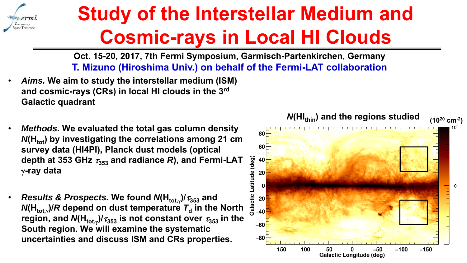

## **Study of the Interstellar Medium and Cosmic-rays in Local HI Clouds**

**Oct. 15-20, 2017, 7th Fermi Symposium, Garmisch-Partenkirchen, Germany T. Mizuno (Hiroshima Univ.) on behalf of the Fermi-LAT collaboration**

- • *Aims.* **We aim to study the interstellar medium (ISM) and cosmic-rays (CRs) in local HI clouds in the 3rd Galactic quadrant**
- • *Methods.* **We evaluated the total gas column density**  *N*(H<sub>tot</sub>) by investigating the correlations among 21 cm **survey data (HI4PI), Planck dust models (optical depth at 353 GHz 353 and radiance**  *R***), and Fermi-LAT -ray data**
- • $\bullet$  *Results & Prospects.* We found  $\textsf{N}(\textsf{H}_{\textsf{tot},\gamma})$ /  $\tau_{353}$  and  $\bm{\mathsf{N}}(\bm{\mathsf{H}}_{\textsf{tot},\gamma})$ / $\bm{\mathsf{R}}$  depend on dust temperature  $\bm{\mathcal{T}}_\textsf{d}$  in the North  $\mathsf{region},$  and  $\mathsf{N}(\mathsf{H}_{\mathsf{tot},\gamma})\text{/} \tau_\mathrm{353}$  is not constant over  $\tau_\mathrm{353}$  in the **South region. We will examine the systematic uncertainties and discuss ISM and CRs properties.**

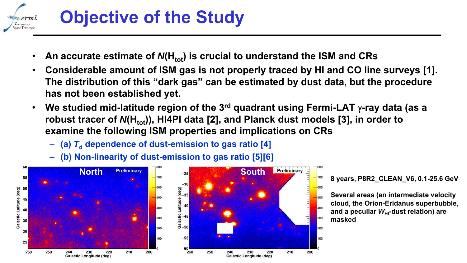

## **Objective of the Study**

- •• An accurate estimate of *N*(H<sub>tot</sub>) is crucial to understand the ISM and CRs
- • **Considerable amount of ISM gas is not properly traced by HI and CO line surveys [1]. The distribution of this "dark gas" can be estimated by dust data, but the procedure has not been established yet.**
- $\bullet$  **We studied mid-latitude region of the 3rd quadrant using Fermi-LAT -ray data (as a**  robust tracer of *N*(H<sub>tot</sub>)), HI4PI data [2], and Planck dust models [3], in order to **examine the following ISM properties and implications on CRs**
	- **(a)**  *T***d dependence of dust-emission to gas ratio [4]**
	- **(b) Non-linearity of dust-emission to gas ratio [5][6]**



**8 years, P8R2\_CLEAN\_V6, 0.1-25.6 GeV**

**Several areas (an intermediate velocity cloud, the Orion-Eridanus superbubble,**  and a peculiar *W*<sub>HI</sub>-dust relation) are **masked**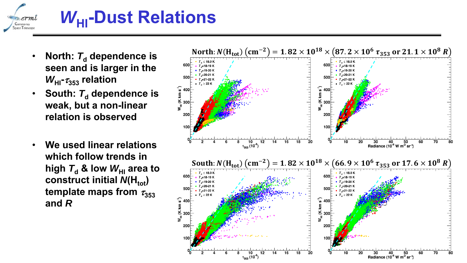

## *W***HI-Dust Relations**

- •• North:  $\mathcal{T}_{\mathsf{d}}$  dependence is **seen and is larger in the**  *W***HI-353 relation**
- •• South:  $\mathcal{T}_{\mathsf{d}}$  dependence is **weak, but a non-linear relation is observed**
- • **We used linear relations which follow trends in**  $\bm{\mathsf{high}}$   $\bm{\mathsf{7}_\mathsf{d}}$  & low  $\bm{\mathsf{W}}_\mathsf{H\mathsf{I}}$  area to **construct initial**  $N(H_{tot})$ **template maps from**  $\tau_{353}$ **and** *R*